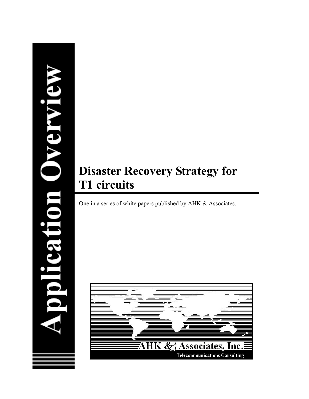# pplication Overvie

# **Disaster Recovery Strategy for T1 circuits**

One in a series of white papers published by AHK & Associates.

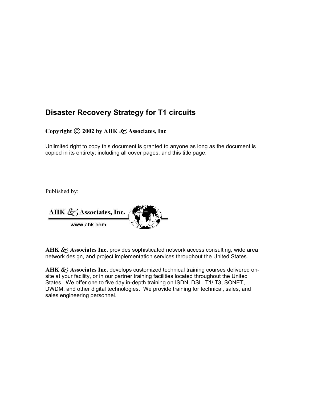## **Disaster Recovery Strategy for T1 circuits**

**Copyright C 2002 by AHK & Associates, Inc.** 

Unlimited right to copy this document is granted to anyone as long as the document is copied in its entirety; including all cover pages, and this title page.

Published by:

AHK  $\mathcal{L}$ , Associates, Inc. www.ahk.com

AHK & Associates Inc. provides sophisticated network access consulting, wide area network design, and project implementation services throughout the United States.

AHK  $\mathcal{L}_1$  Associates Inc. develops customized technical training courses delivered onsite at your facility, or in our partner training facilities located throughout the United States. We offer one to five day in-depth training on ISDN, DSL, T1/ T3, SONET, DWDM, and other digital technologies. We provide training for technical, sales, and sales engineering personnel.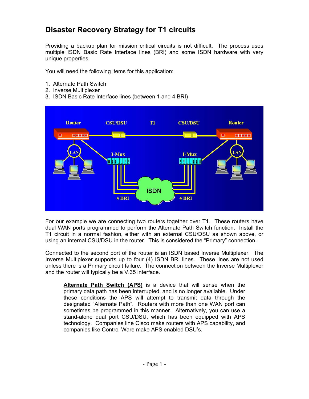# **Disaster Recovery Strategy for T1 circuits**

Providing a backup plan for mission critical circuits is not difficult. The process uses multiple ISDN Basic Rate Interface lines (BRI) and some ISDN hardware with very unique properties.

You will need the following items for this application:

- 1. Alternate Path Switch
- 2. Inverse Multiplexer
- 3. ISDN Basic Rate Interface lines (between 1 and 4 BRI)



For our example we are connecting two routers together over T1. These routers have dual WAN ports programmed to perform the Alternate Path Switch function. Install the T1 circuit in a normal fashion, either with an external CSU/DSU as shown above, or using an internal CSU/DSU in the router. This is considered the "Primary" connection.

Connected to the second port of the router is an ISDN based Inverse Multiplexer. The Inverse Multiplexer supports up to four (4) ISDN BRI lines. These lines are not used unless there is a Primary circuit failure. The connection between the Inverse Multiplexer and the router will typically be a V.35 interface.

**Alternate Path Switch (APS)** is a device that will sense when the primary data path has been interrupted, and is no longer available. Under these conditions the APS will attempt to transmit data through the designated "Alternate Path". Routers with more than one WAN port can sometimes be programmed in this manner. Alternatively, you can use a stand-alone dual port CSU/DSU, which has been equipped with APS technology. Companies line Cisco make routers with APS capability, and companies like Control Ware make APS enabled DSU's.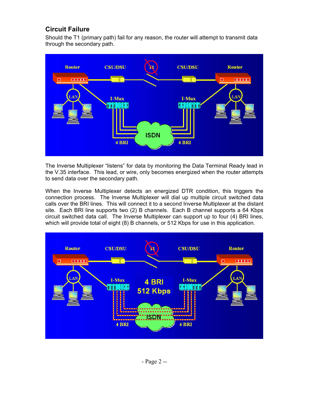### **Circuit Failure**

Should the T1 (primary path) fail for any reason, the router will attempt to transmit data through the secondary path.



The Inverse Multiplexer "listens" for data by monitoring the Data Terminal Ready lead in the V.35 interface. This lead, or wire, only becomes energized when the router attempts to send data over the secondary path.

When the Inverse Multiplexer detects an energized DTR condition, this triggers the connection process. The Inverse Multiplexer will dial up multiple circuit switched data calls over the BRI lines. This will connect it to a second Inverse Multiplexer at the distant site. Each BRI line supports two (2) B channels. Each B channel supports a 64 Kbps circuit switched data call. The Inverse Multiplexer can support up to four (4) BRI lines, which will provide total of eight (8) B channels, or 512 Kbps for use in this application.

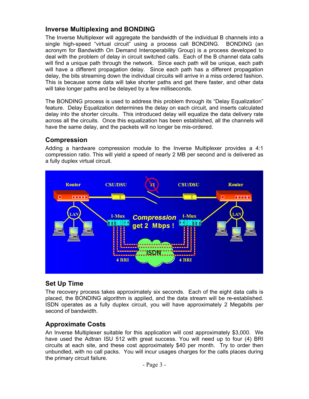### **Inverse Multiplexing and BONDING**

The Inverse Multiplexer will aggregate the bandwidth of the individual B channels into a single high-speed "virtual circuit" using a process call BONDING. BONDING (an acronym for Bandwidth On Demand Interoperability Group) is a process developed to deal with the problem of delay in circuit switched calls. Each of the B channel data calls will find a unique path through the network. Since each path will be unique, each path will have a different propagation delay. Since each path has a different propagation delay, the bits streaming down the individual circuits will arrive in a miss ordered fashion. This is because some data will take shorter paths and get there faster, and other data will take longer paths and be delayed by a few milliseconds.

The BONDING process is used to address this problem through its "Delay Equalization" feature. Delay Equalization determines the delay on each circuit, and inserts calculated delay into the shorter circuits. This introduced delay will equalize the data delivery rate across all the circuits. Once this equalization has been established, all the channels will have the same delay, and the packets will no longer be mis-ordered.

### **Compression**

Adding a hardware compression module to the Inverse Multiplexer provides a 4:1 compression ratio. This will yield a speed of nearly 2 MB per second and is delivered as a fully duplex virtual circuit.



### **Set Up Time**

The recovery process takes approximately six seconds. Each of the eight data calls is placed, the BONDING algorithm is applied, and the data stream will be re-established. ISDN operates as a fully duplex circuit, you will have approximately 2 Megabits per second of bandwidth.

### **Approximate Costs**

An Inverse Multiplexer suitable for this application will cost approximately \$3,000. We have used the Adtran ISU 512 with great success. You will need up to four (4) BRI circuits at each site, and these cost approximately \$40 per month. Try to order then unbundled, with no call packs. You will incur usages charges for the calls places during the primary circuit failure.